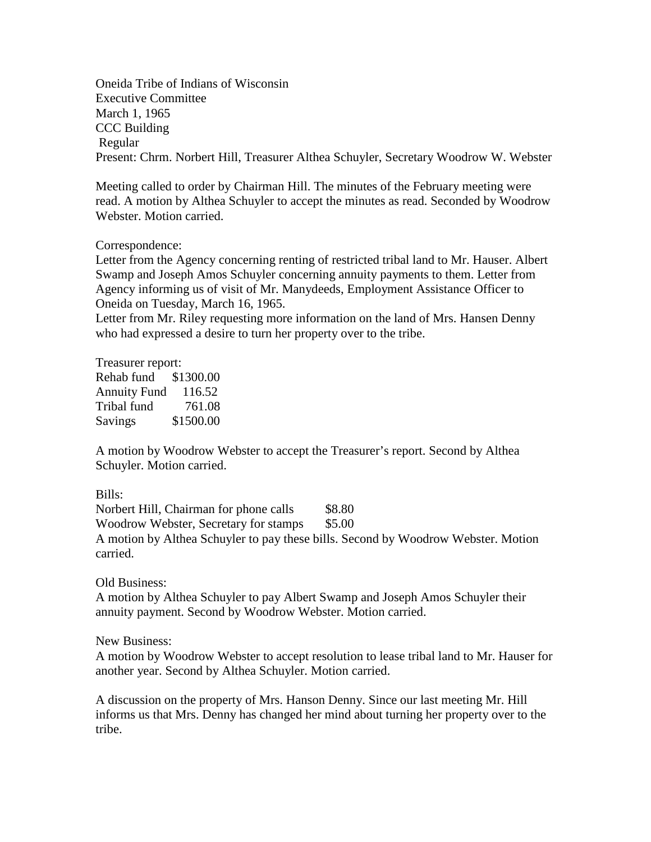Oneida Tribe of Indians of Wisconsin Executive Committee March 1, 1965 CCC Building Regular Present: Chrm. Norbert Hill, Treasurer Althea Schuyler, Secretary Woodrow W. Webster

Meeting called to order by Chairman Hill. The minutes of the February meeting were read. A motion by Althea Schuyler to accept the minutes as read. Seconded by Woodrow Webster. Motion carried.

## Correspondence:

Letter from the Agency concerning renting of restricted tribal land to Mr. Hauser. Albert Swamp and Joseph Amos Schuyler concerning annuity payments to them. Letter from Agency informing us of visit of Mr. Manydeeds, Employment Assistance Officer to Oneida on Tuesday, March 16, 1965.

Letter from Mr. Riley requesting more information on the land of Mrs. Hansen Denny who had expressed a desire to turn her property over to the tribe.

Treasurer report: Rehab fund \$1300.00 Annuity Fund 116.52 Tribal fund 761.08 Savings \$1500.00

A motion by Woodrow Webster to accept the Treasurer's report. Second by Althea Schuyler. Motion carried.

Bills:

Norbert Hill, Chairman for phone calls \$8.80 Woodrow Webster, Secretary for stamps \$5.00 A motion by Althea Schuyler to pay these bills. Second by Woodrow Webster. Motion carried.

Old Business:

A motion by Althea Schuyler to pay Albert Swamp and Joseph Amos Schuyler their annuity payment. Second by Woodrow Webster. Motion carried.

New Business:

A motion by Woodrow Webster to accept resolution to lease tribal land to Mr. Hauser for another year. Second by Althea Schuyler. Motion carried.

A discussion on the property of Mrs. Hanson Denny. Since our last meeting Mr. Hill informs us that Mrs. Denny has changed her mind about turning her property over to the tribe.